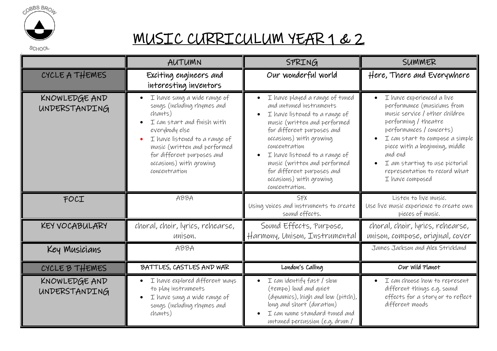

## MUSIC CURRICULUM YEAR 1 & 2

|                                | AUTUMN                                                                                                                                                                                                                                                            | SPRING                                                                                                                                                                                                                                                                                                                                           | SUMMER                                                                                                                                                                                                                                                                                                               |
|--------------------------------|-------------------------------------------------------------------------------------------------------------------------------------------------------------------------------------------------------------------------------------------------------------------|--------------------------------------------------------------------------------------------------------------------------------------------------------------------------------------------------------------------------------------------------------------------------------------------------------------------------------------------------|----------------------------------------------------------------------------------------------------------------------------------------------------------------------------------------------------------------------------------------------------------------------------------------------------------------------|
| CYCLE A THEMES                 | Exciting engineers and<br>interesting inventors                                                                                                                                                                                                                   | Our wonderful world                                                                                                                                                                                                                                                                                                                              | Here, There and Everywhere                                                                                                                                                                                                                                                                                           |
| KNOWLEDGE AND<br>UNDERSTANDING | I have sung a wide range of<br>songs (including rhymes and<br>chants)<br>I can start and finish with<br>everybody else<br>I have listened to a range of<br>music (written and performed<br>for different purposes and<br>occasions) with growing<br>concentration | I have played a range of tuned<br>and untuned instruments<br>I have listened to a range of<br>music (written and performed<br>for different purposes and<br>occasions) with growing<br>concentration<br>I have listened to a range of<br>music (written and performed<br>for different purposes and<br>occasions) with growing<br>concentration. | I have experienced a live<br>performance (musicians from<br>music service / other children<br>performing / theatre<br>performances / concerts)<br>I can start to compose a simple<br>piece with a beginning, middle<br>and end<br>I am starting to use pictorial<br>representation to record what<br>I have composed |
| FOCI                           | ABBA                                                                                                                                                                                                                                                              | <b>SFX</b><br>Using voices and instruments to create<br>sound effects.                                                                                                                                                                                                                                                                           | Listen to live music.<br>Use live music experience to create own<br>pieces of music.                                                                                                                                                                                                                                 |
| KEY VOCABULARY                 | choral, choir, lyrics, rehearse,<br>unison.                                                                                                                                                                                                                       | Sound Effects, Purpose,<br>Harmony, Unison, Instrumental                                                                                                                                                                                                                                                                                         | choral, choir, lyrics, rehearse,<br>unison, compose, original, cover                                                                                                                                                                                                                                                 |
| Key Musicians                  | ABBA                                                                                                                                                                                                                                                              |                                                                                                                                                                                                                                                                                                                                                  | James Jackson and Alex Strickland                                                                                                                                                                                                                                                                                    |
| CYCLE B THEMES                 | BATTLES, CASTLES AND WAR                                                                                                                                                                                                                                          | London's Calling                                                                                                                                                                                                                                                                                                                                 | Our Wild Planet                                                                                                                                                                                                                                                                                                      |
| KNOWLEDGE AND<br>UNDERSTANDING | I have explored different ways<br>to play instruments<br>I have sung a wide range of<br>songs (including rhymes and<br>chants)                                                                                                                                    | $I$ can identify fast / slow<br>(tempo) loud and quiet<br>(dynamics), high and low (pitch),<br>long and short (duration)<br>I can name standard tuned and<br>untuned percussion (e.g. drum/                                                                                                                                                      | I can choose how to represent<br>different things e.g. sound<br>effects for a story or to reflect<br>different moods                                                                                                                                                                                                 |